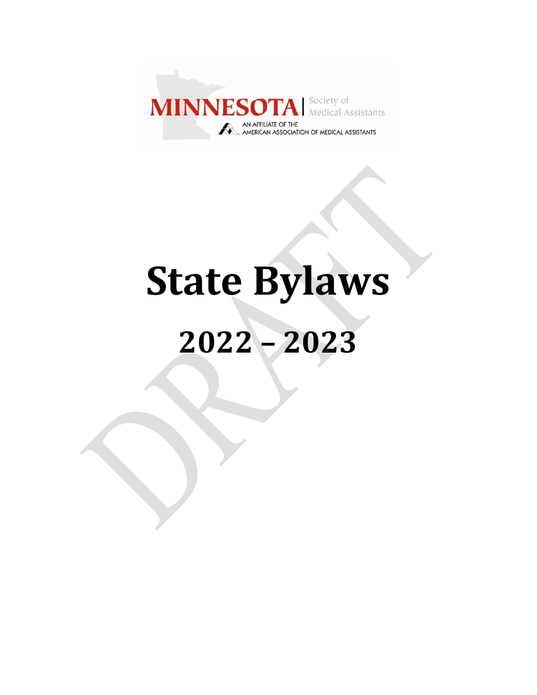

# **State Bylaws**

# **2022 – 2023**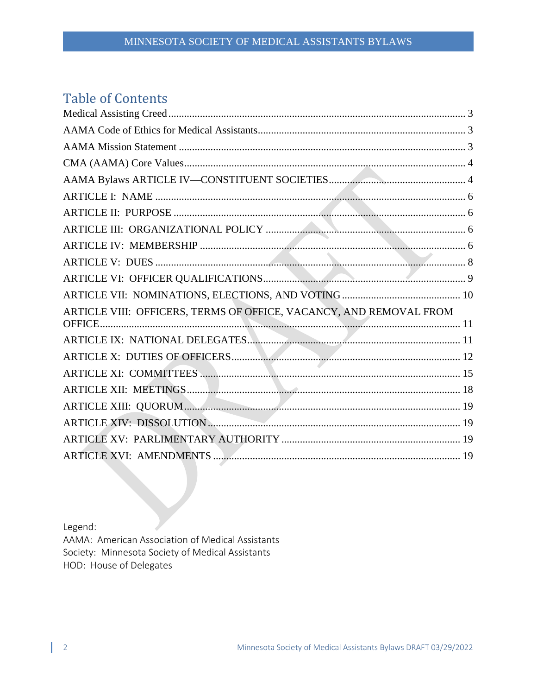# **Table of Contents**

| ARTICLE VIII: OFFICERS, TERMS OF OFFICE, VACANCY, AND REMOVAL FROM |  |
|--------------------------------------------------------------------|--|
|                                                                    |  |
| ARTICLE IX: NATIONAL DELEGATES.                                    |  |
|                                                                    |  |
|                                                                    |  |
|                                                                    |  |
|                                                                    |  |
|                                                                    |  |
|                                                                    |  |
|                                                                    |  |
|                                                                    |  |

Legend:

AAMA: American Association of Medical Assistants Society: Minnesota Society of Medical Assistants HOD: House of Delegates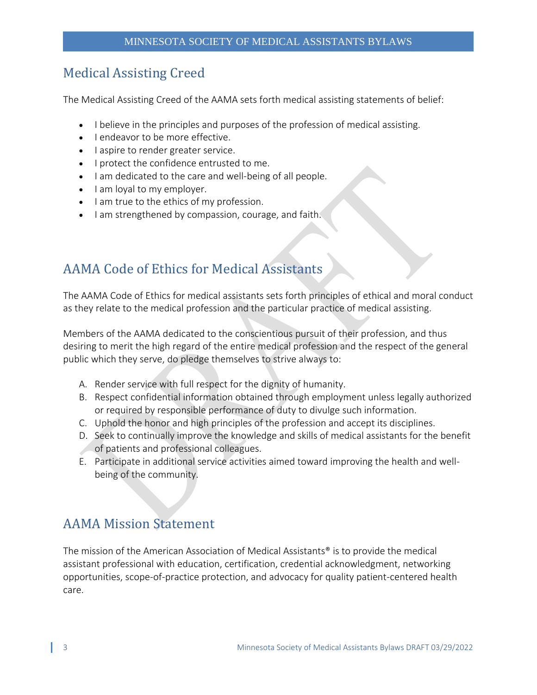# <span id="page-2-0"></span>Medical Assisting Creed

The Medical Assisting Creed of the AAMA sets forth medical assisting statements of belief:

- I believe in the principles and purposes of the profession of medical assisting.
- I endeavor to be more effective.
- I aspire to render greater service.
- I protect the confidence entrusted to me.
- I am dedicated to the care and well-being of all people.
- I am loyal to my employer.
- I am true to the ethics of my profession.
- I am strengthened by compassion, courage, and faith.

# <span id="page-2-1"></span>AAMA Code of Ethics for Medical Assistants

The AAMA Code of Ethics for medical assistants sets forth principles of ethical and moral conduct as they relate to the medical profession and the particular practice of medical assisting.

Members of the AAMA dedicated to the conscientious pursuit of their profession, and thus desiring to merit the high regard of the entire medical profession and the respect of the general public which they serve, do pledge themselves to strive always to:

- A. Render service with full respect for the dignity of humanity.
- B. Respect confidential information obtained through employment unless legally authorized or required by responsible performance of duty to divulge such information.
- C. Uphold the honor and high principles of the profession and accept its disciplines.
- D. Seek to continually improve the knowledge and skills of medical assistants for the benefit of patients and professional colleagues.
- E. Participate in additional service activities aimed toward improving the health and wellbeing of the community.

## <span id="page-2-2"></span>AAMA Mission Statement

The mission of the American Association of Medical Assistants® is to provide the medical assistant professional with education, certification, credential acknowledgment, networking opportunities, scope-of-practice protection, and advocacy for quality patient-centered health care.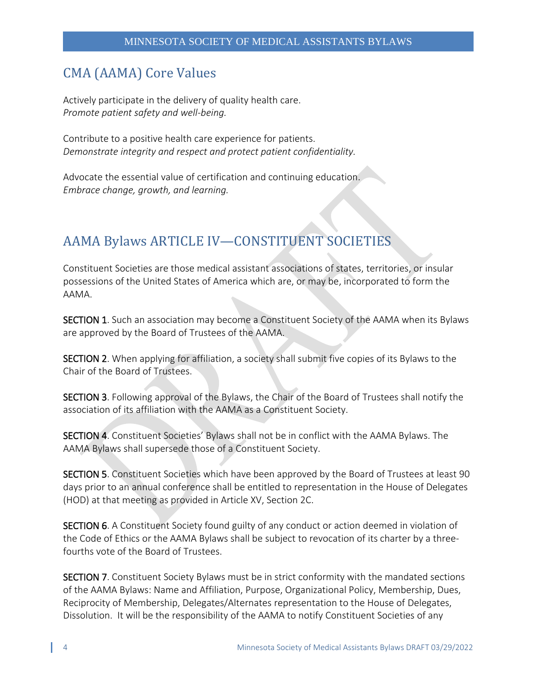## <span id="page-3-0"></span>CMA (AAMA) Core Values

Actively participate in the delivery of quality health care. *Promote patient safety and well-being.* 

Contribute to a positive health care experience for patients. *Demonstrate integrity and respect and protect patient confidentiality.*

Advocate the essential value of certification and continuing education. *Embrace change, growth, and learning.* 

## <span id="page-3-1"></span>AAMA Bylaws ARTICLE IV—CONSTITUENT SOCIETIES

Constituent Societies are those medical assistant associations of states, territories, or insular possessions of the United States of America which are, or may be, incorporated to form the AAMA.

SECTION 1. Such an association may become a Constituent Society of the AAMA when its Bylaws are approved by the Board of Trustees of the AAMA.

SECTION 2. When applying for affiliation, a society shall submit five copies of its Bylaws to the Chair of the Board of Trustees.

SECTION 3. Following approval of the Bylaws, the Chair of the Board of Trustees shall notify the association of its affiliation with the AAMA as a Constituent Society.

SECTION 4. Constituent Societies' Bylaws shall not be in conflict with the AAMA Bylaws. The AAMA Bylaws shall supersede those of a Constituent Society.

SECTION 5. Constituent Societies which have been approved by the Board of Trustees at least 90 days prior to an annual conference shall be entitled to representation in the House of Delegates (HOD) at that meeting as provided in Article XV, Section 2C.

SECTION 6. A Constituent Society found guilty of any conduct or action deemed in violation of the Code of Ethics or the AAMA Bylaws shall be subject to revocation of its charter by a threefourths vote of the Board of Trustees.

SECTION 7. Constituent Society Bylaws must be in strict conformity with the mandated sections of the AAMA Bylaws: Name and Affiliation, Purpose, Organizational Policy, Membership, Dues, Reciprocity of Membership, Delegates/Alternates representation to the House of Delegates, Dissolution. It will be the responsibility of the AAMA to notify Constituent Societies of any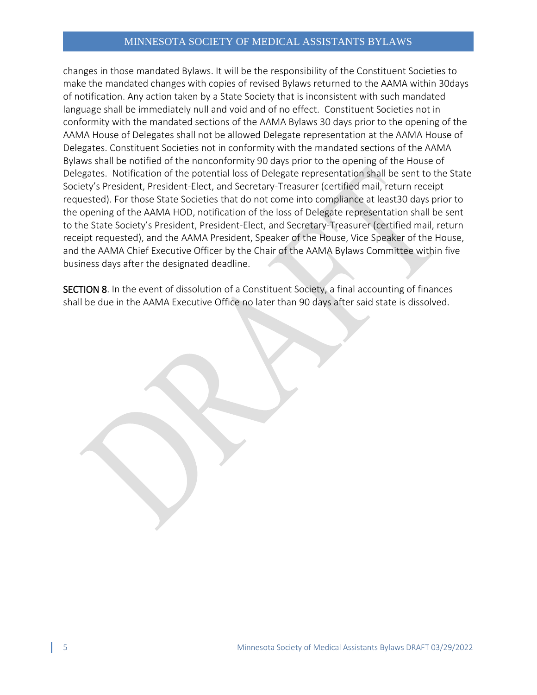#### MINNESOTA SOCIETY OF MEDICAL ASSISTANTS BYLAWS

changes in those mandated Bylaws. It will be the responsibility of the Constituent Societies to make the mandated changes with copies of revised Bylaws returned to the AAMA within 30days of notification. Any action taken by a State Society that is inconsistent with such mandated language shall be immediately null and void and of no effect. Constituent Societies not in conformity with the mandated sections of the AAMA Bylaws 30 days prior to the opening of the AAMA House of Delegates shall not be allowed Delegate representation at the AAMA House of Delegates. Constituent Societies not in conformity with the mandated sections of the AAMA Bylaws shall be notified of the nonconformity 90 days prior to the opening of the House of Delegates. Notification of the potential loss of Delegate representation shall be sent to the State Society's President, President-Elect, and Secretary-Treasurer (certified mail, return receipt requested). For those State Societies that do not come into compliance at least30 days prior to the opening of the AAMA HOD, notification of the loss of Delegate representation shall be sent to the State Society's President, President-Elect, and Secretary-Treasurer (certified mail, return receipt requested), and the AAMA President, Speaker of the House, Vice Speaker of the House, and the AAMA Chief Executive Officer by the Chair of the AAMA Bylaws Committee within five business days after the designated deadline.

SECTION 8. In the event of dissolution of a Constituent Society, a final accounting of finances shall be due in the AAMA Executive Office no later than 90 days after said state is dissolved.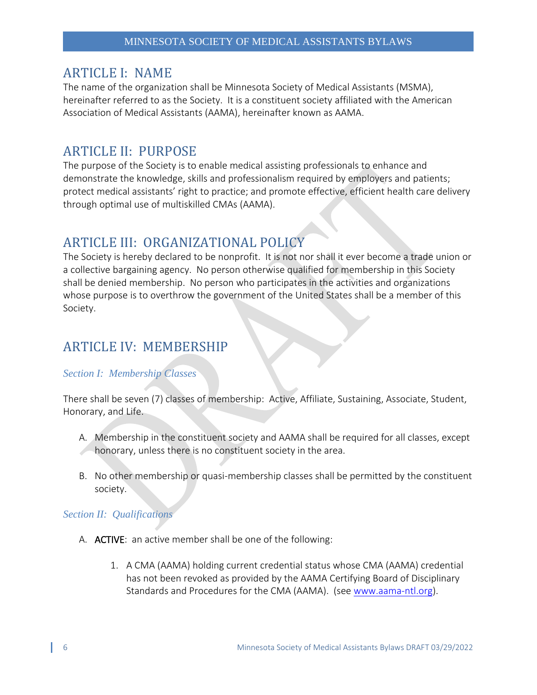## <span id="page-5-0"></span>ARTICLE I: NAME

The name of the organization shall be Minnesota Society of Medical Assistants (MSMA), hereinafter referred to as the Society. It is a constituent society affiliated with the American Association of Medical Assistants (AAMA), hereinafter known as AAMA.

## <span id="page-5-1"></span>ARTICLE II: PURPOSE

The purpose of the Society is to enable medical assisting professionals to enhance and demonstrate the knowledge, skills and professionalism required by employers and patients; protect medical assistants' right to practice; and promote effective, efficient health care delivery through optimal use of multiskilled CMAs (AAMA).

## <span id="page-5-2"></span>ARTICLE III: ORGANIZATIONAL POLICY

The Society is hereby declared to be nonprofit. It is not nor shall it ever become a trade union or a collective bargaining agency. No person otherwise qualified for membership in this Society shall be denied membership. No person who participates in the activities and organizations whose purpose is to overthrow the government of the United States shall be a member of this Society.

## <span id="page-5-3"></span>ARTICLE IV: MEMBERSHIP

### *Section I: Membership Classes*

There shall be seven (7) classes of membership: Active, Affiliate, Sustaining, Associate, Student, Honorary, and Life.

- A. Membership in the constituent society and AAMA shall be required for all classes, except honorary, unless there is no constituent society in the area.
- B. No other membership or quasi-membership classes shall be permitted by the constituent society.

#### *Section II: Qualifications*

- A. **ACTIVE:** an active member shall be one of the following:
	- 1. A CMA (AAMA) holding current credential status whose CMA (AAMA) credential has not been revoked as provided by the AAMA Certifying Board of Disciplinary Standards and Procedures for the CMA (AAMA). (see [www.aama-ntl.org\)](http://www.aama-ntl.org/).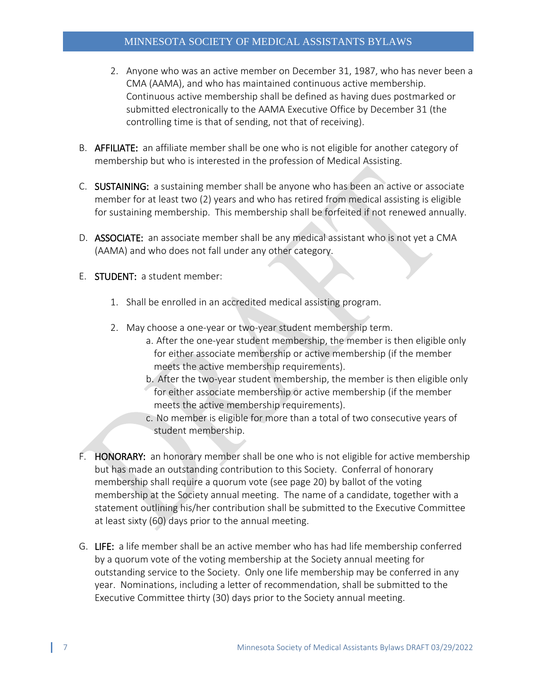- 2. Anyone who was an active member on December 31, 1987, who has never been a CMA (AAMA), and who has maintained continuous active membership. Continuous active membership shall be defined as having dues postmarked or submitted electronically to the AAMA Executive Office by December 31 (the controlling time is that of sending, not that of receiving).
- B. AFFILIATE: an affiliate member shall be one who is not eligible for another category of membership but who is interested in the profession of Medical Assisting.
- C. SUSTAINING: a sustaining member shall be anyone who has been an active or associate member for at least two (2) years and who has retired from medical assisting is eligible for sustaining membership. This membership shall be forfeited if not renewed annually.
- D. ASSOCIATE: an associate member shall be any medical assistant who is not yet a CMA (AAMA) and who does not fall under any other category.
- E. STUDENT: a student member:
	- 1. Shall be enrolled in an accredited medical assisting program.
	- 2. May choose a one-year or two-year student membership term.
		- a. After the one-year student membership, the member is then eligible only for either associate membership or active membership (if the member meets the active membership requirements).
		- b. After the two-year student membership, the member is then eligible only for either associate membership or active membership (if the member meets the active membership requirements).
		- c. No member is eligible for more than a total of two consecutive years of student membership.
- F. **HONORARY:** an honorary member shall be one who is not eligible for active membership but has made an outstanding contribution to this Society. Conferral of honorary membership shall require a quorum vote (see page 20) by ballot of the voting membership at the Society annual meeting. The name of a candidate, together with a statement outlining his/her contribution shall be submitted to the Executive Committee at least sixty (60) days prior to the annual meeting.
- G. LIFE: a life member shall be an active member who has had life membership conferred by a quorum vote of the voting membership at the Society annual meeting for outstanding service to the Society. Only one life membership may be conferred in any year. Nominations, including a letter of recommendation, shall be submitted to the Executive Committee thirty (30) days prior to the Society annual meeting.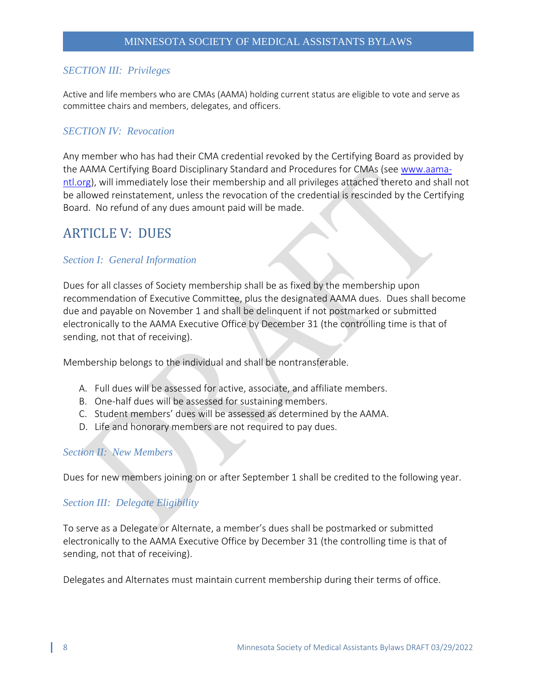#### *SECTION III: Privileges*

Active and life members who are CMAs (AAMA) holding current status are eligible to vote and serve as committee chairs and members, delegates, and officers.

#### *SECTION IV: Revocation*

Any member who has had their CMA credential revoked by the Certifying Board as provided by the AAMA Certifying Board Disciplinary Standard and Procedures for CMAs (see [www.aama](http://www.aama-ntl.org/)[ntl.org\)](http://www.aama-ntl.org/), will immediately lose their membership and all privileges attached thereto and shall not be allowed reinstatement, unless the revocation of the credential is rescinded by the Certifying Board. No refund of any dues amount paid will be made.

## <span id="page-7-0"></span>ARTICLE V: DUES

#### *Section I: General Information*

Dues for all classes of Society membership shall be as fixed by the membership upon recommendation of Executive Committee, plus the designated AAMA dues. Dues shall become due and payable on November 1 and shall be delinquent if not postmarked or submitted electronically to the AAMA Executive Office by December 31 (the controlling time is that of sending, not that of receiving).

Membership belongs to the individual and shall be nontransferable.

- A. Full dues will be assessed for active, associate, and affiliate members.
- B. One-half dues will be assessed for sustaining members.
- C. Student members' dues will be assessed as determined by the AAMA.
- D. Life and honorary members are not required to pay dues.

#### *Section II: New Members*

Dues for new members joining on or after September 1 shall be credited to the following year.

#### *Section III: Delegate Eligibility*

To serve as a Delegate or Alternate, a member's dues shall be postmarked or submitted electronically to the AAMA Executive Office by December 31 (the controlling time is that of sending, not that of receiving).

Delegates and Alternates must maintain current membership during their terms of office.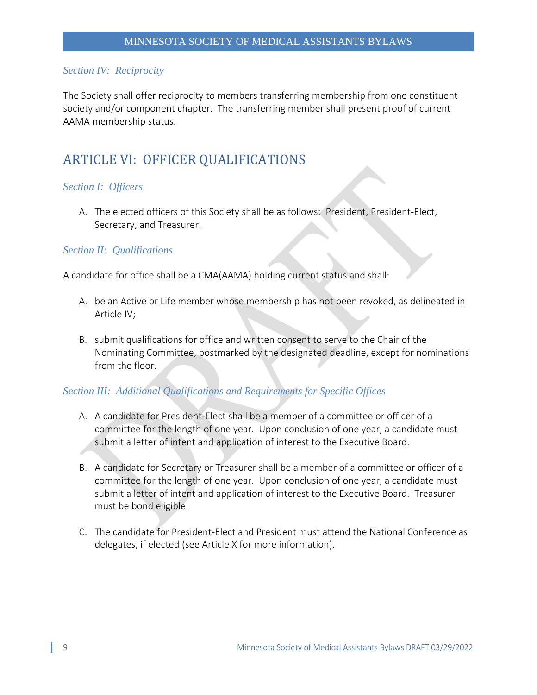#### *Section IV: Reciprocity*

The Society shall offer reciprocity to members transferring membership from one constituent society and/or component chapter. The transferring member shall present proof of current AAMA membership status.

## <span id="page-8-0"></span>ARTICLE VI: OFFICER QUALIFICATIONS

#### *Section I: Officers*

A. The elected officers of this Society shall be as follows: President, President-Elect, Secretary, and Treasurer.

#### *Section II: Qualifications*

A candidate for office shall be a CMA(AAMA) holding current status and shall:

- A. be an Active or Life member whose membership has not been revoked, as delineated in Article IV;
- B. submit qualifications for office and written consent to serve to the Chair of the Nominating Committee, postmarked by the designated deadline, except for nominations from the floor.

#### *Section III: Additional Qualifications and Requirements for Specific Offices*

- A. A candidate for President-Elect shall be a member of a committee or officer of a committee for the length of one year. Upon conclusion of one year, a candidate must submit a letter of intent and application of interest to the Executive Board.
- B. A candidate for Secretary or Treasurer shall be a member of a committee or officer of a committee for the length of one year. Upon conclusion of one year, a candidate must submit a letter of intent and application of interest to the Executive Board. Treasurer must be bond eligible.
- C. The candidate for President-Elect and President must attend the National Conference as delegates, if elected (see Article X for more information).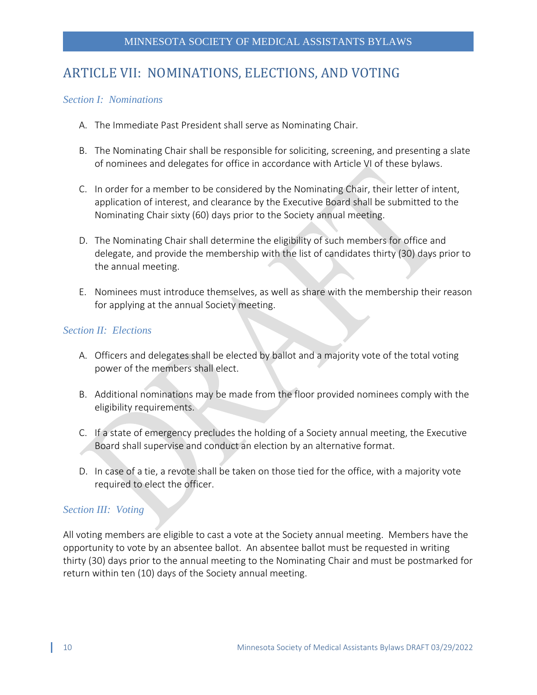# <span id="page-9-0"></span>ARTICLE VII: NOMINATIONS, ELECTIONS, AND VOTING

#### *Section I: Nominations*

- A. The Immediate Past President shall serve as Nominating Chair.
- B. The Nominating Chair shall be responsible for soliciting, screening, and presenting a slate of nominees and delegates for office in accordance with Article VI of these bylaws.
- C. In order for a member to be considered by the Nominating Chair, their letter of intent, application of interest, and clearance by the Executive Board shall be submitted to the Nominating Chair sixty (60) days prior to the Society annual meeting.
- D. The Nominating Chair shall determine the eligibility of such members for office and delegate, and provide the membership with the list of candidates thirty (30) days prior to the annual meeting.
- E. Nominees must introduce themselves, as well as share with the membership their reason for applying at the annual Society meeting.

#### *Section II: Elections*

- A. Officers and delegates shall be elected by ballot and a majority vote of the total voting power of the members shall elect.
- B. Additional nominations may be made from the floor provided nominees comply with the eligibility requirements.
- C. If a state of emergency precludes the holding of a Society annual meeting, the Executive Board shall supervise and conduct an election by an alternative format.
- D. In case of a tie, a revote shall be taken on those tied for the office, with a majority vote required to elect the officer.

#### *Section III: Voting*

All voting members are eligible to cast a vote at the Society annual meeting. Members have the opportunity to vote by an absentee ballot. An absentee ballot must be requested in writing thirty (30) days prior to the annual meeting to the Nominating Chair and must be postmarked for return within ten (10) days of the Society annual meeting.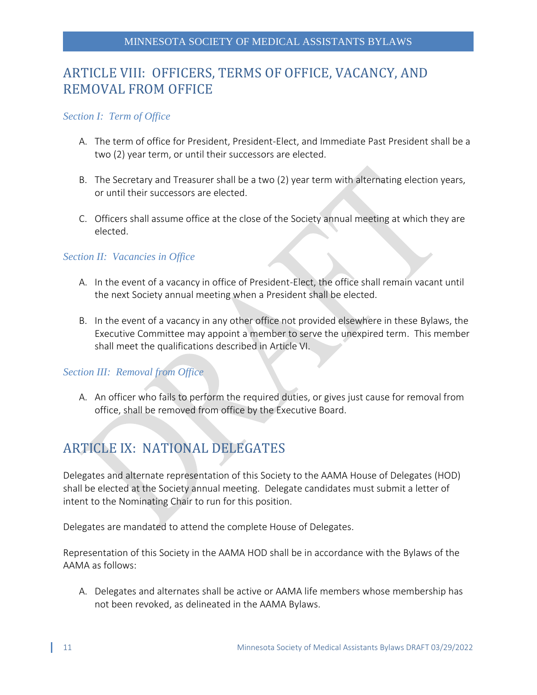# <span id="page-10-0"></span>ARTICLE VIII: OFFICERS, TERMS OF OFFICE, VACANCY, AND REMOVAL FROM OFFICE

#### *Section I: Term of Office*

- A. The term of office for President, President-Elect, and Immediate Past President shall be a two (2) year term, or until their successors are elected.
- B. The Secretary and Treasurer shall be a two (2) year term with alternating election years, or until their successors are elected.
- C. Officers shall assume office at the close of the Society annual meeting at which they are elected.

#### *Section II: Vacancies in Office*

- A. In the event of a vacancy in office of President-Elect, the office shall remain vacant until the next Society annual meeting when a President shall be elected.
- B. In the event of a vacancy in any other office not provided elsewhere in these Bylaws, the Executive Committee may appoint a member to serve the unexpired term. This member shall meet the qualifications described in Article VI.

#### *Section III: Removal from Office*

A. An officer who fails to perform the required duties, or gives just cause for removal from office, shall be removed from office by the Executive Board.

## <span id="page-10-1"></span>ARTICLE IX: NATIONAL DELEGATES

Delegates and alternate representation of this Society to the AAMA House of Delegates (HOD) shall be elected at the Society annual meeting. Delegate candidates must submit a letter of intent to the Nominating Chair to run for this position.

Delegates are mandated to attend the complete House of Delegates.

Representation of this Society in the AAMA HOD shall be in accordance with the Bylaws of the AAMA as follows:

A. Delegates and alternates shall be active or AAMA life members whose membership has not been revoked, as delineated in the AAMA Bylaws.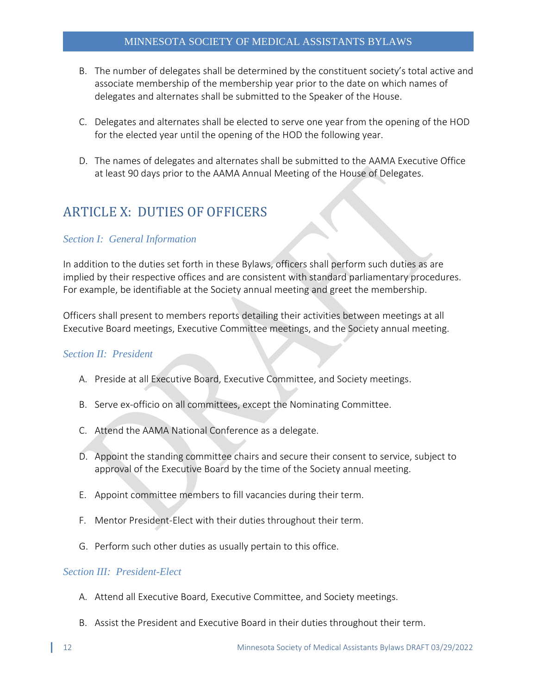- B. The number of delegates shall be determined by the constituent society's total active and associate membership of the membership year prior to the date on which names of delegates and alternates shall be submitted to the Speaker of the House.
- C. Delegates and alternates shall be elected to serve one year from the opening of the HOD for the elected year until the opening of the HOD the following year.
- D. The names of delegates and alternates shall be submitted to the AAMA Executive Office at least 90 days prior to the AAMA Annual Meeting of the House of Delegates.

## <span id="page-11-0"></span>ARTICLE X: DUTIES OF OFFICERS

#### *Section I: General Information*

In addition to the duties set forth in these Bylaws, officers shall perform such duties as are implied by their respective offices and are consistent with standard parliamentary procedures. For example, be identifiable at the Society annual meeting and greet the membership.

Officers shall present to members reports detailing their activities between meetings at all Executive Board meetings, Executive Committee meetings, and the Society annual meeting.

#### *Section II: President*

- A. Preside at all Executive Board, Executive Committee, and Society meetings.
- B. Serve ex-officio on all committees, except the Nominating Committee.
- C. Attend the AAMA National Conference as a delegate.
- D. Appoint the standing committee chairs and secure their consent to service, subject to approval of the Executive Board by the time of the Society annual meeting.
- E. Appoint committee members to fill vacancies during their term.
- F. Mentor President-Elect with their duties throughout their term.
- G. Perform such other duties as usually pertain to this office.

#### *Section III: President-Elect*

- A. Attend all Executive Board, Executive Committee, and Society meetings.
- B. Assist the President and Executive Board in their duties throughout their term.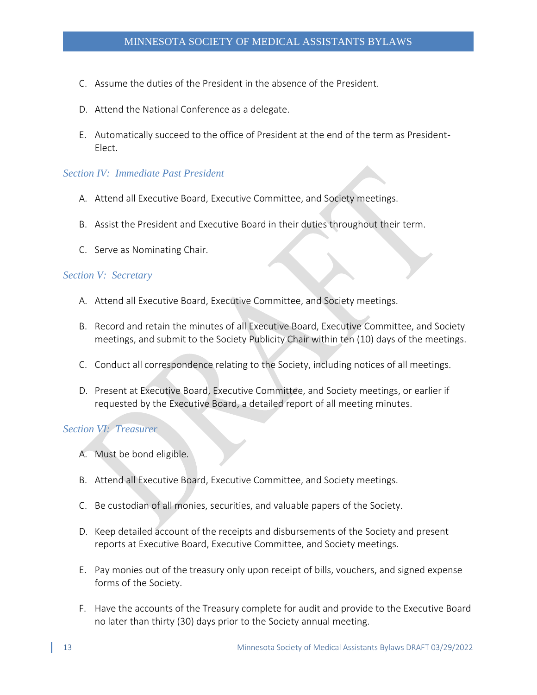- C. Assume the duties of the President in the absence of the President.
- D. Attend the National Conference as a delegate.
- E. Automatically succeed to the office of President at the end of the term as President-Elect.

#### *Section IV: Immediate Past President*

- A. Attend all Executive Board, Executive Committee, and Society meetings.
- B. Assist the President and Executive Board in their duties throughout their term.
- C. Serve as Nominating Chair.

#### *Section V: Secretary*

- A. Attend all Executive Board, Executive Committee, and Society meetings.
- B. Record and retain the minutes of all Executive Board, Executive Committee, and Society meetings, and submit to the Society Publicity Chair within ten (10) days of the meetings.
- C. Conduct all correspondence relating to the Society, including notices of all meetings.
- D. Present at Executive Board, Executive Committee, and Society meetings, or earlier if requested by the Executive Board, a detailed report of all meeting minutes.

#### *Section VI: Treasurer*

- A. Must be bond eligible.
- B. Attend all Executive Board, Executive Committee, and Society meetings.
- C. Be custodian of all monies, securities, and valuable papers of the Society.
- D. Keep detailed account of the receipts and disbursements of the Society and present reports at Executive Board, Executive Committee, and Society meetings.
- E. Pay monies out of the treasury only upon receipt of bills, vouchers, and signed expense forms of the Society.
- F. Have the accounts of the Treasury complete for audit and provide to the Executive Board no later than thirty (30) days prior to the Society annual meeting.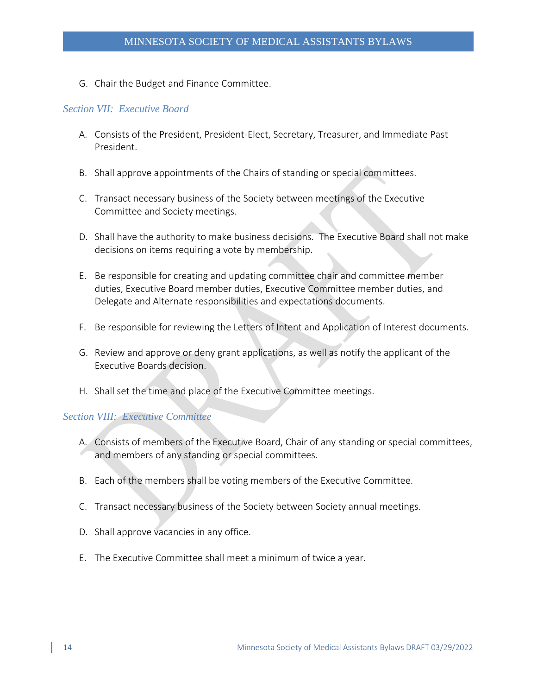G. Chair the Budget and Finance Committee.

#### *Section VII: Executive Board*

- A. Consists of the President, President-Elect, Secretary, Treasurer, and Immediate Past President.
- B. Shall approve appointments of the Chairs of standing or special committees.
- C. Transact necessary business of the Society between meetings of the Executive Committee and Society meetings.
- D. Shall have the authority to make business decisions. The Executive Board shall not make decisions on items requiring a vote by membership.
- E. Be responsible for creating and updating committee chair and committee member duties, Executive Board member duties, Executive Committee member duties, and Delegate and Alternate responsibilities and expectations documents.
- F. Be responsible for reviewing the Letters of Intent and Application of Interest documents.
- G. Review and approve or deny grant applications, as well as notify the applicant of the Executive Boards decision.
- H. Shall set the time and place of the Executive Committee meetings.

#### *Section VIII: Executive Committee*

- A. Consists of members of the Executive Board, Chair of any standing or special committees, and members of any standing or special committees.
- B. Each of the members shall be voting members of the Executive Committee.
- C. Transact necessary business of the Society between Society annual meetings.
- D. Shall approve vacancies in any office.
- E. The Executive Committee shall meet a minimum of twice a year.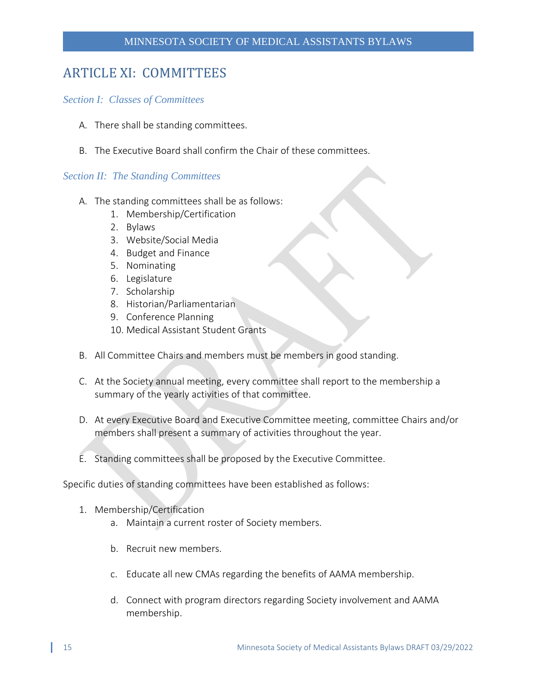## <span id="page-14-0"></span>ARTICLE XI: COMMITTEES

#### *Section I: Classes of Committees*

- A. There shall be standing committees.
- B. The Executive Board shall confirm the Chair of these committees.

#### *Section II: The Standing Committees*

- A. The standing committees shall be as follows:
	- 1. Membership/Certification
	- 2. Bylaws
	- 3. Website/Social Media
	- 4. Budget and Finance
	- 5. Nominating
	- 6. Legislature
	- 7. Scholarship
	- 8. Historian/Parliamentarian
	- 9. Conference Planning
	- 10. Medical Assistant Student Grants
- B. All Committee Chairs and members must be members in good standing.
- C. At the Society annual meeting, every committee shall report to the membership a summary of the yearly activities of that committee.
- D. At every Executive Board and Executive Committee meeting, committee Chairs and/or members shall present a summary of activities throughout the year.
- E. Standing committees shall be proposed by the Executive Committee.

Specific duties of standing committees have been established as follows:

- 1. Membership/Certification
	- a. Maintain a current roster of Society members.
	- b. Recruit new members.
	- c. Educate all new CMAs regarding the benefits of AAMA membership.
	- d. Connect with program directors regarding Society involvement and AAMA membership.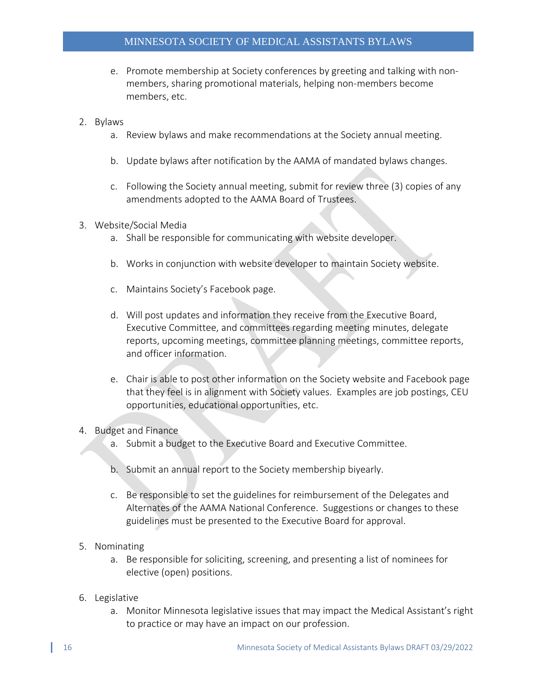- e. Promote membership at Society conferences by greeting and talking with nonmembers, sharing promotional materials, helping non-members become members, etc.
- 2. Bylaws
	- a. Review bylaws and make recommendations at the Society annual meeting.
	- b. Update bylaws after notification by the AAMA of mandated bylaws changes.
	- c. Following the Society annual meeting, submit for review three (3) copies of any amendments adopted to the AAMA Board of Trustees.
- 3. Website/Social Media
	- a. Shall be responsible for communicating with website developer.
	- b. Works in conjunction with website developer to maintain Society website.
	- c. Maintains Society's Facebook page.
	- d. Will post updates and information they receive from the Executive Board, Executive Committee, and committees regarding meeting minutes, delegate reports, upcoming meetings, committee planning meetings, committee reports, and officer information.
	- e. Chair is able to post other information on the Society website and Facebook page that they feel is in alignment with Society values. Examples are job postings, CEU opportunities, educational opportunities, etc.
- 4. Budget and Finance
	- a. Submit a budget to the Executive Board and Executive Committee.
	- b. Submit an annual report to the Society membership biyearly.
	- c. Be responsible to set the guidelines for reimbursement of the Delegates and Alternates of the AAMA National Conference. Suggestions or changes to these guidelines must be presented to the Executive Board for approval.
- 5. Nominating
	- a. Be responsible for soliciting, screening, and presenting a list of nominees for elective (open) positions.
- 6. Legislative
	- a. Monitor Minnesota legislative issues that may impact the Medical Assistant's right to practice or may have an impact on our profession.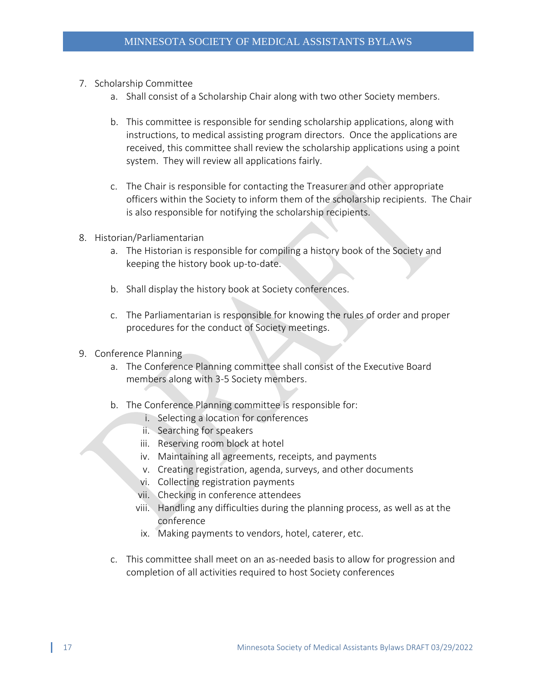- 7. Scholarship Committee
	- a. Shall consist of a Scholarship Chair along with two other Society members.
	- b. This committee is responsible for sending scholarship applications, along with instructions, to medical assisting program directors. Once the applications are received, this committee shall review the scholarship applications using a point system. They will review all applications fairly.
	- c. The Chair is responsible for contacting the Treasurer and other appropriate officers within the Society to inform them of the scholarship recipients. The Chair is also responsible for notifying the scholarship recipients.
- 8. Historian/Parliamentarian
	- a. The Historian is responsible for compiling a history book of the Society and keeping the history book up-to-date.
	- b. Shall display the history book at Society conferences.
	- c. The Parliamentarian is responsible for knowing the rules of order and proper procedures for the conduct of Society meetings.
- 9. Conference Planning
	- a. The Conference Planning committee shall consist of the Executive Board members along with 3-5 Society members.
	- b. The Conference Planning committee is responsible for:
		- i. Selecting a location for conferences
		- ii. Searching for speakers
		- iii. Reserving room block at hotel
		- iv. Maintaining all agreements, receipts, and payments
		- v. Creating registration, agenda, surveys, and other documents
		- vi. Collecting registration payments
		- vii. Checking in conference attendees
		- viii. Handling any difficulties during the planning process, as well as at the conference
		- ix. Making payments to vendors, hotel, caterer, etc.
	- c. This committee shall meet on an as-needed basis to allow for progression and completion of all activities required to host Society conferences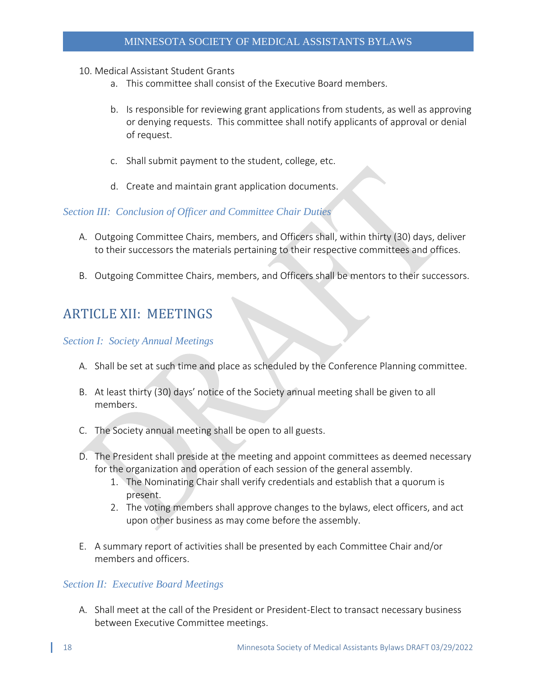- 10. Medical Assistant Student Grants
	- a. This committee shall consist of the Executive Board members.
	- b. Is responsible for reviewing grant applications from students, as well as approving or denying requests. This committee shall notify applicants of approval or denial of request.
	- c. Shall submit payment to the student, college, etc.
	- d. Create and maintain grant application documents.

#### *Section III: Conclusion of Officer and Committee Chair Duties*

- A. Outgoing Committee Chairs, members, and Officers shall, within thirty (30) days, deliver to their successors the materials pertaining to their respective committees and offices.
- B. Outgoing Committee Chairs, members, and Officers shall be mentors to their successors.

## <span id="page-17-0"></span>ARTICLE XII: MEETINGS

#### *Section I: Society Annual Meetings*

- A. Shall be set at such time and place as scheduled by the Conference Planning committee.
- B. At least thirty (30) days' notice of the Society annual meeting shall be given to all members.
- C. The Society annual meeting shall be open to all guests.
- D. The President shall preside at the meeting and appoint committees as deemed necessary for the organization and operation of each session of the general assembly.
	- 1. The Nominating Chair shall verify credentials and establish that a quorum is present.
	- 2. The voting members shall approve changes to the bylaws, elect officers, and act upon other business as may come before the assembly.
- E. A summary report of activities shall be presented by each Committee Chair and/or members and officers.

#### *Section II: Executive Board Meetings*

A. Shall meet at the call of the President or President-Elect to transact necessary business between Executive Committee meetings.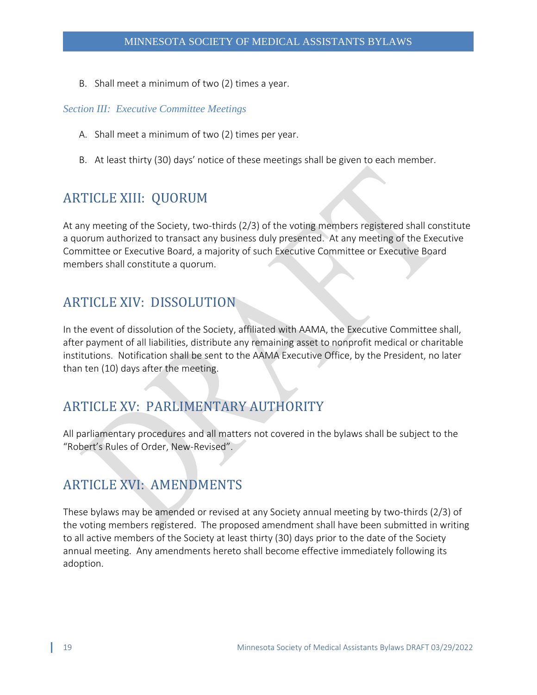B. Shall meet a minimum of two (2) times a year.

#### *Section III: Executive Committee Meetings*

- A. Shall meet a minimum of two (2) times per year.
- B. At least thirty (30) days' notice of these meetings shall be given to each member.

## <span id="page-18-0"></span>ARTICLE XIII: QUORUM

At any meeting of the Society, two-thirds (2/3) of the voting members registered shall constitute a quorum authorized to transact any business duly presented. At any meeting of the Executive Committee or Executive Board, a majority of such Executive Committee or Executive Board members shall constitute a quorum.

## <span id="page-18-1"></span>ARTICLE XIV: DISSOLUTION

In the event of dissolution of the Society, affiliated with AAMA, the Executive Committee shall, after payment of all liabilities, distribute any remaining asset to nonprofit medical or charitable institutions. Notification shall be sent to the AAMA Executive Office, by the President, no later than ten (10) days after the meeting.

## <span id="page-18-2"></span>ARTICLE XV: PARLIMENTARY AUTHORITY

All parliamentary procedures and all matters not covered in the bylaws shall be subject to the "Robert's Rules of Order, New-Revised".

## <span id="page-18-3"></span>ARTICLE XVI: AMENDMENTS

These bylaws may be amended or revised at any Society annual meeting by two-thirds (2/3) of the voting members registered. The proposed amendment shall have been submitted in writing to all active members of the Society at least thirty (30) days prior to the date of the Society annual meeting. Any amendments hereto shall become effective immediately following its adoption.